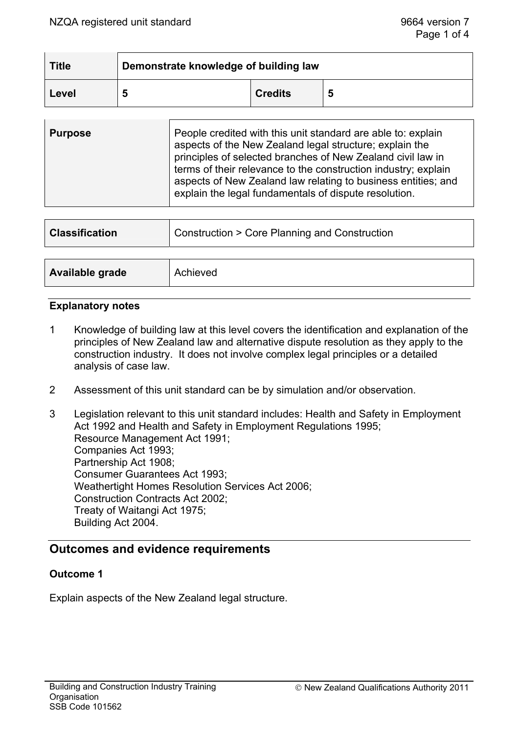| <b>Title</b> | Demonstrate knowledge of building law |                |   |
|--------------|---------------------------------------|----------------|---|
| Level        | э                                     | <b>Credits</b> | 5 |

| <b>Purpose</b> | People credited with this unit standard are able to: explain<br>aspects of the New Zealand legal structure; explain the<br>principles of selected branches of New Zealand civil law in<br>terms of their relevance to the construction industry; explain<br>aspects of New Zealand law relating to business entities; and<br>explain the legal fundamentals of dispute resolution. |
|----------------|------------------------------------------------------------------------------------------------------------------------------------------------------------------------------------------------------------------------------------------------------------------------------------------------------------------------------------------------------------------------------------|
|                |                                                                                                                                                                                                                                                                                                                                                                                    |

| <b>Classification</b> | Construction > Core Planning and Construction |  |
|-----------------------|-----------------------------------------------|--|
|                       |                                               |  |
| Available grade       | Achieved                                      |  |

#### **Explanatory notes**

- 1 Knowledge of building law at this level covers the identification and explanation of the principles of New Zealand law and alternative dispute resolution as they apply to the construction industry. It does not involve complex legal principles or a detailed analysis of case law.
- 2 Assessment of this unit standard can be by simulation and/or observation.
- 3 Legislation relevant to this unit standard includes: Health and Safety in Employment Act 1992 and Health and Safety in Employment Regulations 1995; Resource Management Act 1991; Companies Act 1993; Partnership Act 1908; Consumer Guarantees Act 1993; Weathertight Homes Resolution Services Act 2006; Construction Contracts Act 2002; Treaty of Waitangi Act 1975; Building Act 2004.

# **Outcomes and evidence requirements**

### **Outcome 1**

Explain aspects of the New Zealand legal structure.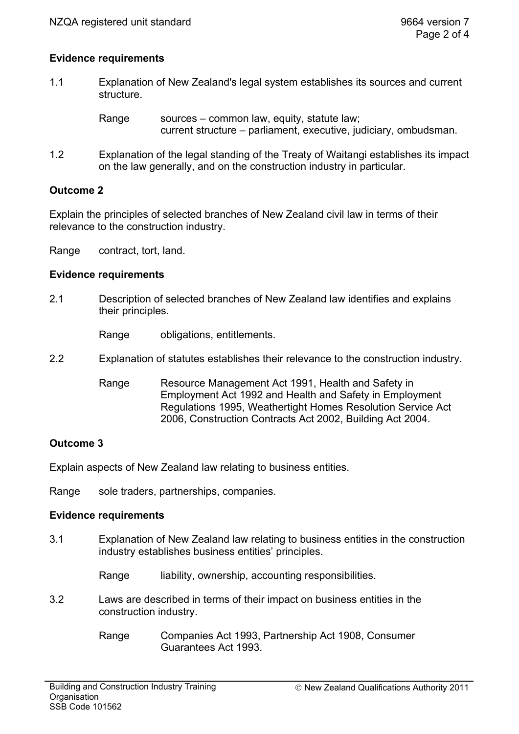## **Evidence requirements**

1.1 Explanation of New Zealand's legal system establishes its sources and current structure.

> Range sources – common law, equity, statute law; current structure – parliament, executive, judiciary, ombudsman.

1.2 Explanation of the legal standing of the Treaty of Waitangi establishes its impact on the law generally, and on the construction industry in particular.

## **Outcome 2**

Explain the principles of selected branches of New Zealand civil law in terms of their relevance to the construction industry.

Range contract, tort, land.

### **Evidence requirements**

2.1 Description of selected branches of New Zealand law identifies and explains their principles.

Range obligations, entitlements.

- 2.2 Explanation of statutes establishes their relevance to the construction industry.
	- Range Resource Management Act 1991, Health and Safety in Employment Act 1992 and Health and Safety in Employment Regulations 1995, Weathertight Homes Resolution Service Act 2006, Construction Contracts Act 2002, Building Act 2004.

### **Outcome 3**

Explain aspects of New Zealand law relating to business entities.

Range sole traders, partnerships, companies.

### **Evidence requirements**

- 3.1 Explanation of New Zealand law relating to business entities in the construction industry establishes business entities' principles.
	- Range liability, ownership, accounting responsibilities.
- 3.2 Laws are described in terms of their impact on business entities in the construction industry.
	- Range Companies Act 1993, Partnership Act 1908, Consumer Guarantees Act 1993.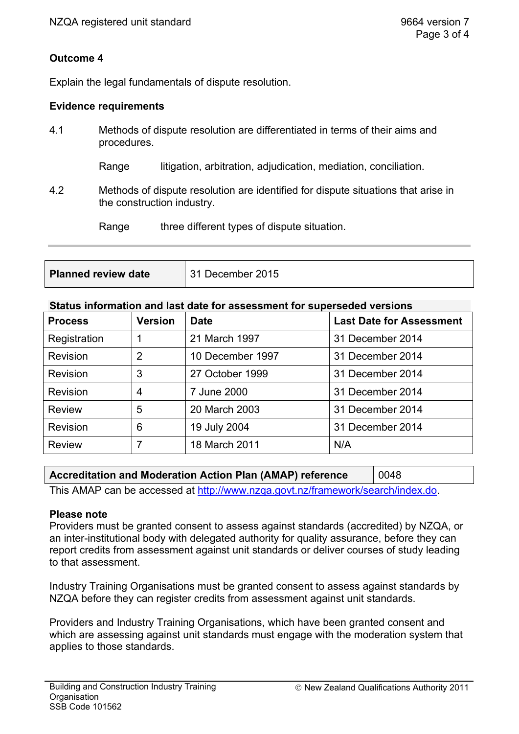# **Outcome 4**

Explain the legal fundamentals of dispute resolution.

## **Evidence requirements**

4.1 Methods of dispute resolution are differentiated in terms of their aims and procedures.

Range litigation, arbitration, adjudication, mediation, conciliation.

4.2 Methods of dispute resolution are identified for dispute situations that arise in the construction industry.

Range three different types of dispute situation.

**Planned review date** <sup>31</sup> December 2015

#### **Status information and last date for assessment for superseded versions**

| <b>Process</b>  | <b>Version</b> | <b>Date</b>      | <b>Last Date for Assessment</b> |
|-----------------|----------------|------------------|---------------------------------|
| Registration    |                | 21 March 1997    | 31 December 2014                |
| <b>Revision</b> | 2              | 10 December 1997 | 31 December 2014                |
| <b>Revision</b> | 3              | 27 October 1999  | 31 December 2014                |
| <b>Revision</b> | 4              | 7 June 2000      | 31 December 2014                |
| <b>Review</b>   | 5              | 20 March 2003    | 31 December 2014                |
| <b>Revision</b> | 6              | 19 July 2004     | 31 December 2014                |
| <b>Review</b>   | 7              | 18 March 2011    | N/A                             |

| Accreditation and Moderation Action Plan (AMAP) reference                       | 0048 |  |  |  |
|---------------------------------------------------------------------------------|------|--|--|--|
| This AMAP can be accessed at http://www.nzga.govt.nz/framework/search/index.do. |      |  |  |  |

### **Please note**

Providers must be granted consent to assess against standards (accredited) by NZQA, or an inter-institutional body with delegated authority for quality assurance, before they can report credits from assessment against unit standards or deliver courses of study leading to that assessment.

Industry Training Organisations must be granted consent to assess against standards by NZQA before they can register credits from assessment against unit standards.

Providers and Industry Training Organisations, which have been granted consent and which are assessing against unit standards must engage with the moderation system that applies to those standards.